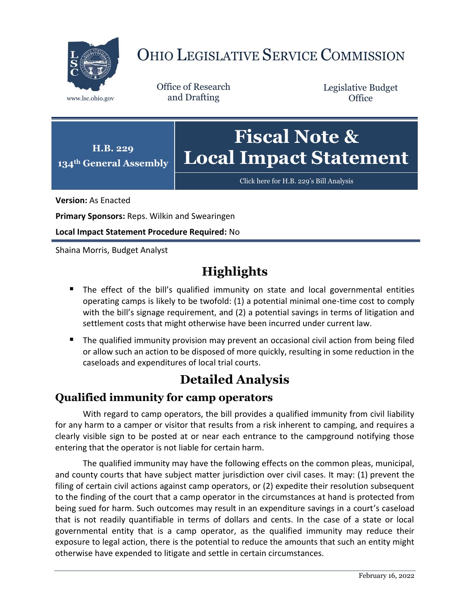

# OHIO LEGISLATIVE SERVICE COMMISSION

Office of Research www.lsc.ohio.gov and Drafting

Legislative Budget **Office** 



[Click here for H.B. 229](https://www.legislature.ohio.gov/legislation/legislation-documents?id=GA134-HB-229)'s Bill Analysis

**Version:** As Enacted

**Primary Sponsors:** Reps. Wilkin and Swearingen

**Local Impact Statement Procedure Required:** No

Shaina Morris, Budget Analyst

## **Highlights**

- **The effect of the bill's qualified immunity on state and local governmental entities** operating camps is likely to be twofold: (1) a potential minimal one-time cost to comply with the bill's signage requirement, and (2) a potential savings in terms of litigation and settlement costs that might otherwise have been incurred under current law.
- **The qualified immunity provision may prevent an occasional civil action from being filed** or allow such an action to be disposed of more quickly, resulting in some reduction in the caseloads and expenditures of local trial courts.

### **Detailed Analysis**

#### **Qualified immunity for camp operators**

With regard to camp operators, the bill provides a qualified immunity from civil liability for any harm to a camper or visitor that results from a risk inherent to camping, and requires a clearly visible sign to be posted at or near each entrance to the campground notifying those entering that the operator is not liable for certain harm.

The qualified immunity may have the following effects on the common pleas, municipal, and county courts that have subject matter jurisdiction over civil cases. It may: (1) prevent the filing of certain civil actions against camp operators, or (2) expedite their resolution subsequent to the finding of the court that a camp operator in the circumstances at hand is protected from being sued for harm. Such outcomes may result in an expenditure savings in a court's caseload that is not readily quantifiable in terms of dollars and cents. In the case of a state or local governmental entity that is a camp operator, as the qualified immunity may reduce their exposure to legal action, there is the potential to reduce the amounts that such an entity might otherwise have expended to litigate and settle in certain circumstances.